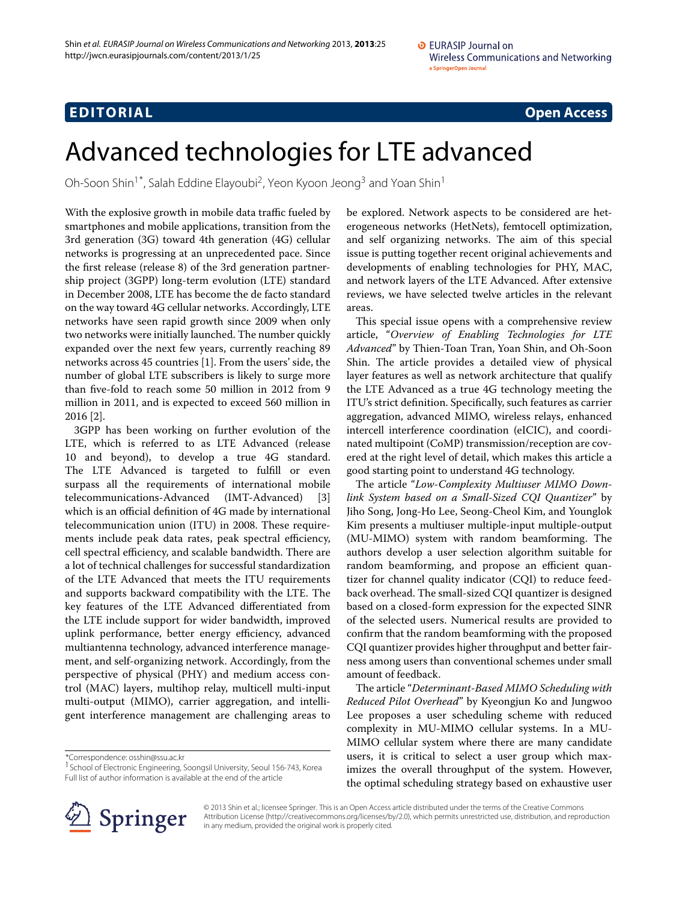# **EDITORIAL Open Access**

# Advanced technologies for LTE advanced

Oh-Soon Shin<sup>1\*</sup>, Salah Eddine Elayoubi<sup>2</sup>, Yeon Kyoon Jeong<sup>3</sup> and Yoan Shin<sup>1</sup>

With the explosive growth in mobile data traffic fueled by smartphones and mobile applications, transition from the 3rd generation (3G) toward 4th generation (4G) cellular networks is progressing at an unprecedented pace. Since the first release (release 8) of the 3rd generation partnership project (3GPP) long-term evolution (LTE) standard in December 2008, LTE has become the de facto standard on the way toward 4G cellular networks. Accordingly, LTE networks have seen rapid growth since 2009 when only two networks were initially launched. The number quickly expanded over the next few years, currently reaching 89 networks across 45 countries [\[1\]](#page-2-0). From the users' side, the number of global LTE subscribers is likely to surge more than five-fold to reach some 50 million in 2012 from 9 million in 2011, and is expected to exceed 560 million in 2016 [\[2\]](#page-2-1).

3GPP has been working on further evolution of the LTE, which is referred to as LTE Advanced (release 10 and beyond), to develop a true 4G standard. The LTE Advanced is targeted to fulfill or even surpass all the requirements of international mobile telecommunications-Advanced (IMT-Advanced) [\[3\]](#page-2-2) which is an official definition of 4G made by international telecommunication union (ITU) in 2008. These requirements include peak data rates, peak spectral efficiency, cell spectral efficiency, and scalable bandwidth. There are a lot of technical challenges for successful standardization of the LTE Advanced that meets the ITU requirements and supports backward compatibility with the LTE. The key features of the LTE Advanced differentiated from the LTE include support for wider bandwidth, improved uplink performance, better energy efficiency, advanced multiantenna technology, advanced interference management, and self-organizing network. Accordingly, from the perspective of physical (PHY) and medium access control (MAC) layers, multihop relay, multicell multi-input multi-output (MIMO), carrier aggregation, and intelligent interference management are challenging areas to

\*Correspondence: osshin@ssu.ac.kr

1School of Electronic Engineering, Soongsil University, Seoul 156-743, Korea Full list of author information is available at the end of the article

be explored. Network aspects to be considered are heterogeneous networks (HetNets), femtocell optimization, and self organizing networks. The aim of this special issue is putting together recent original achievements and developments of enabling technologies for PHY, MAC, and network layers of the LTE Advanced. After extensive reviews, we have selected twelve articles in the relevant areas.

This special issue opens with a comprehensive review article, "*Overview of Enabling Technologies for LTE Advanced*" by Thien-Toan Tran, Yoan Shin, and Oh-Soon Shin. The article provides a detailed view of physical layer features as well as network architecture that qualify the LTE Advanced as a true 4G technology meeting the ITU's strict definition. Specifically, such features as carrier aggregation, advanced MIMO, wireless relays, enhanced intercell interference coordination (eICIC), and coordinated multipoint (CoMP) transmission/reception are covered at the right level of detail, which makes this article a good starting point to understand 4G technology.

The article "*Low-Complexity Multiuser MIMO Downlink System based on a Small-Sized CQI Quantizer*" by Jiho Song, Jong-Ho Lee, Seong-Cheol Kim, and Younglok Kim presents a multiuser multiple-input multiple-output (MU-MIMO) system with random beamforming. The authors develop a user selection algorithm suitable for random beamforming, and propose an efficient quantizer for channel quality indicator (CQI) to reduce feedback overhead. The small-sized CQI quantizer is designed based on a closed-form expression for the expected SINR of the selected users. Numerical results are provided to confirm that the random beamforming with the proposed CQI quantizer provides higher throughput and better fairness among users than conventional schemes under small amount of feedback.

The article "*Determinant-Based MIMO Scheduling with Reduced Pilot Overhead*" by Kyeongjun Ko and Jungwoo Lee proposes a user scheduling scheme with reduced complexity in MU-MIMO cellular systems. In a MU-MIMO cellular system where there are many candidate users, it is critical to select a user group which maximizes the overall throughput of the system. However, the optimal scheduling strategy based on exhaustive user



© 2013 Shin et al.; licensee Springer. This is an Open Access article distributed under the terms of the Creative Commons Attribution License (http://creativecommons.org/licenses/by/2.0), which permits unrestricted use, distribution, and reproduction in any medium, provided the original work is properly cited.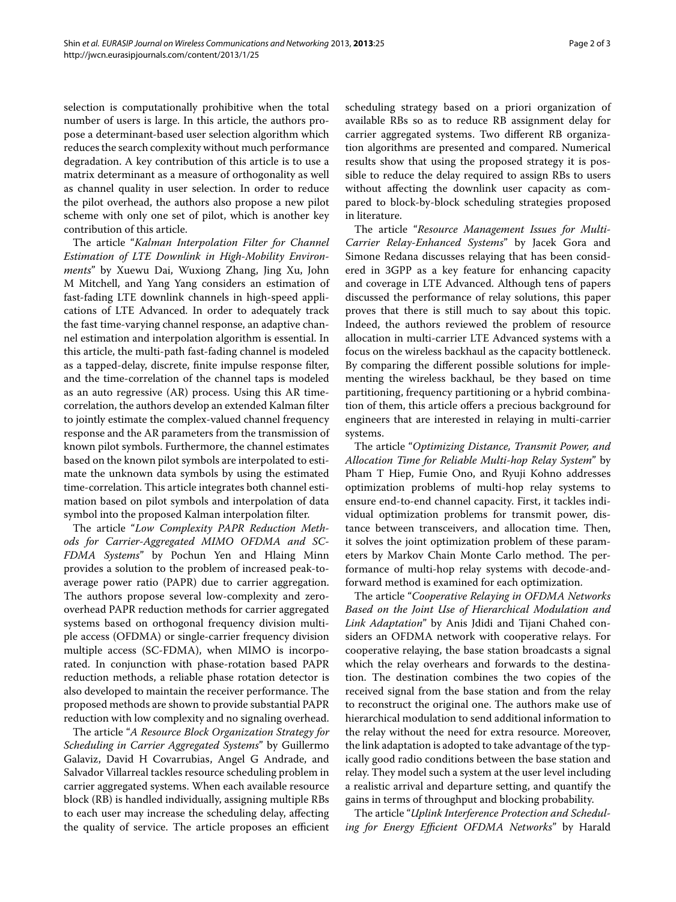selection is computationally prohibitive when the total number of users is large. In this article, the authors propose a determinant-based user selection algorithm which reduces the search complexity without much performance degradation. A key contribution of this article is to use a matrix determinant as a measure of orthogonality as well as channel quality in user selection. In order to reduce the pilot overhead, the authors also propose a new pilot scheme with only one set of pilot, which is another key contribution of this article.

The article "*Kalman Interpolation Filter for Channel Estimation of LTE Downlink in High-Mobility Environments*" by Xuewu Dai, Wuxiong Zhang, Jing Xu, John M Mitchell, and Yang Yang considers an estimation of fast-fading LTE downlink channels in high-speed applications of LTE Advanced. In order to adequately track the fast time-varying channel response, an adaptive channel estimation and interpolation algorithm is essential. In this article, the multi-path fast-fading channel is modeled as a tapped-delay, discrete, finite impulse response filter, and the time-correlation of the channel taps is modeled as an auto regressive (AR) process. Using this AR timecorrelation, the authors develop an extended Kalman filter to jointly estimate the complex-valued channel frequency response and the AR parameters from the transmission of known pilot symbols. Furthermore, the channel estimates based on the known pilot symbols are interpolated to estimate the unknown data symbols by using the estimated time-correlation. This article integrates both channel estimation based on pilot symbols and interpolation of data symbol into the proposed Kalman interpolation filter.

The article "*Low Complexity PAPR Reduction Methods for Carrier-Aggregated MIMO OFDMA and SC-FDMA Systems*" by Pochun Yen and Hlaing Minn provides a solution to the problem of increased peak-toaverage power ratio (PAPR) due to carrier aggregation. The authors propose several low-complexity and zerooverhead PAPR reduction methods for carrier aggregated systems based on orthogonal frequency division multiple access (OFDMA) or single-carrier frequency division multiple access (SC-FDMA), when MIMO is incorporated. In conjunction with phase-rotation based PAPR reduction methods, a reliable phase rotation detector is also developed to maintain the receiver performance. The proposed methods are shown to provide substantial PAPR reduction with low complexity and no signaling overhead.

The article "*A Resource Block Organization Strategy for Scheduling in Carrier Aggregated Systems*" by Guillermo Galaviz, David H Covarrubias, Angel G Andrade, and Salvador Villarreal tackles resource scheduling problem in carrier aggregated systems. When each available resource block (RB) is handled individually, assigning multiple RBs to each user may increase the scheduling delay, affecting the quality of service. The article proposes an efficient

scheduling strategy based on a priori organization of available RBs so as to reduce RB assignment delay for carrier aggregated systems. Two different RB organization algorithms are presented and compared. Numerical results show that using the proposed strategy it is possible to reduce the delay required to assign RBs to users without affecting the downlink user capacity as compared to block-by-block scheduling strategies proposed in literature.

The article "*Resource Management Issues for Multi-Carrier Relay-Enhanced Systems*" by Jacek Gora and Simone Redana discusses relaying that has been considered in 3GPP as a key feature for enhancing capacity and coverage in LTE Advanced. Although tens of papers discussed the performance of relay solutions, this paper proves that there is still much to say about this topic. Indeed, the authors reviewed the problem of resource allocation in multi-carrier LTE Advanced systems with a focus on the wireless backhaul as the capacity bottleneck. By comparing the different possible solutions for implementing the wireless backhaul, be they based on time partitioning, frequency partitioning or a hybrid combination of them, this article offers a precious background for engineers that are interested in relaying in multi-carrier systems.

The article "*Optimizing Distance, Transmit Power, and Allocation Time for Reliable Multi-hop Relay System*" by Pham T Hiep, Fumie Ono, and Ryuji Kohno addresses optimization problems of multi-hop relay systems to ensure end-to-end channel capacity. First, it tackles individual optimization problems for transmit power, distance between transceivers, and allocation time. Then, it solves the joint optimization problem of these parameters by Markov Chain Monte Carlo method. The performance of multi-hop relay systems with decode-andforward method is examined for each optimization.

The article "*Cooperative Relaying in OFDMA Networks Based on the Joint Use of Hierarchical Modulation and Link Adaptation*" by Anis Jdidi and Tijani Chahed considers an OFDMA network with cooperative relays. For cooperative relaying, the base station broadcasts a signal which the relay overhears and forwards to the destination. The destination combines the two copies of the received signal from the base station and from the relay to reconstruct the original one. The authors make use of hierarchical modulation to send additional information to the relay without the need for extra resource. Moreover, the link adaptation is adopted to take advantage of the typically good radio conditions between the base station and relay. They model such a system at the user level including a realistic arrival and departure setting, and quantify the gains in terms of throughput and blocking probability.

The article "*Uplink Interference Protection and Scheduling for Energy Efficient OFDMA Networks*" by Harald